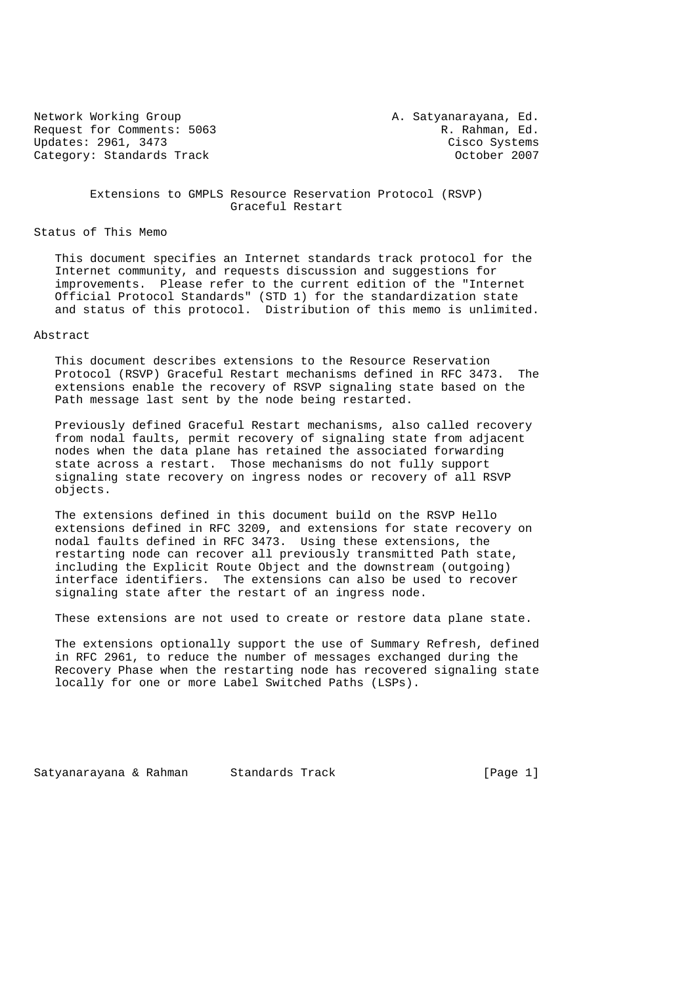Network Working Group A. Satyanarayana, Ed. Request for Comments: 5063 R. Rahman, Ed. (R. Rahman, Ed. (R. Rahman, Ed. (R. Rahman, Ed. (R. Rahman, Ed. (R. Rahman, Ed. (R. Rahman, Ed. (R. Rahman, Ed. (R. Rahman, Ed. (R. Rahman, Ed. (R. Rahman, Ed. (R. Rahman, Ed. (R. Updates: 2961, 3473 Category: Standards Track Category: Standards Track Category: October 2007

 Extensions to GMPLS Resource Reservation Protocol (RSVP) Graceful Restart

Status of This Memo

 This document specifies an Internet standards track protocol for the Internet community, and requests discussion and suggestions for improvements. Please refer to the current edition of the "Internet Official Protocol Standards" (STD 1) for the standardization state and status of this protocol. Distribution of this memo is unlimited.

### Abstract

 This document describes extensions to the Resource Reservation Protocol (RSVP) Graceful Restart mechanisms defined in RFC 3473. The extensions enable the recovery of RSVP signaling state based on the Path message last sent by the node being restarted.

 Previously defined Graceful Restart mechanisms, also called recovery from nodal faults, permit recovery of signaling state from adjacent nodes when the data plane has retained the associated forwarding state across a restart. Those mechanisms do not fully support signaling state recovery on ingress nodes or recovery of all RSVP objects.

 The extensions defined in this document build on the RSVP Hello extensions defined in RFC 3209, and extensions for state recovery on nodal faults defined in RFC 3473. Using these extensions, the restarting node can recover all previously transmitted Path state, including the Explicit Route Object and the downstream (outgoing) interface identifiers. The extensions can also be used to recover signaling state after the restart of an ingress node.

These extensions are not used to create or restore data plane state.

 The extensions optionally support the use of Summary Refresh, defined in RFC 2961, to reduce the number of messages exchanged during the Recovery Phase when the restarting node has recovered signaling state locally for one or more Label Switched Paths (LSPs).

Satyanarayana & Rahman Standards Track Track [Page 1]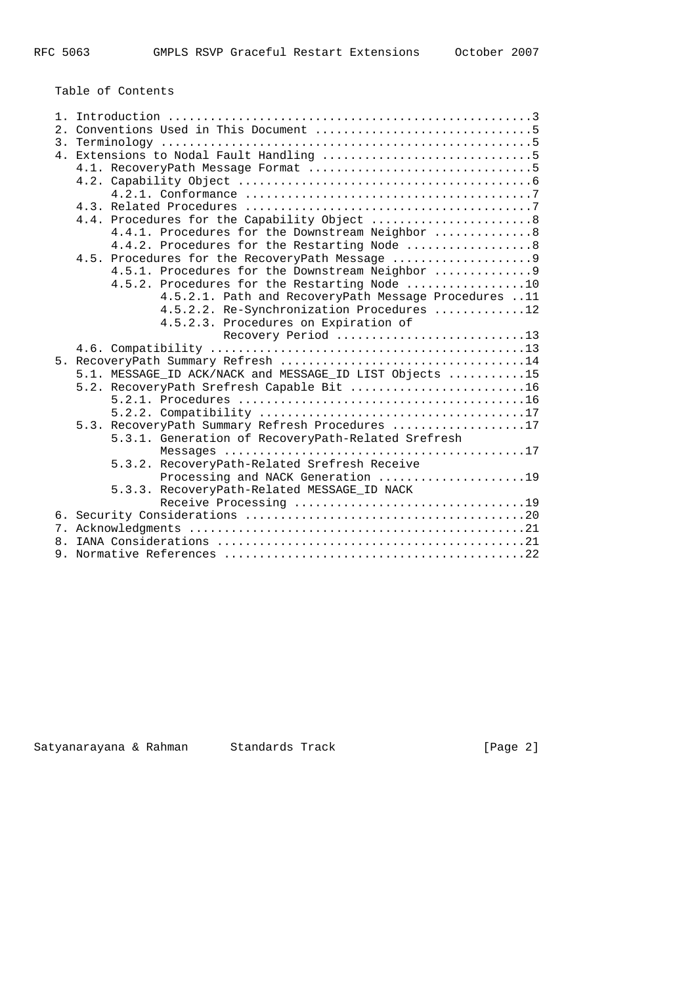Table of Contents

|    | 4.4.1. Procedures for the Downstream Neighbor  8        |  |  |  |  |  |  |  |  |  |  |  |  |
|----|---------------------------------------------------------|--|--|--|--|--|--|--|--|--|--|--|--|
|    | 4.4.2. Procedures for the Restarting Node  8            |  |  |  |  |  |  |  |  |  |  |  |  |
|    |                                                         |  |  |  |  |  |  |  |  |  |  |  |  |
|    | 4.5.1. Procedures for the Downstream Neighbor  9        |  |  |  |  |  |  |  |  |  |  |  |  |
|    | 4.5.2. Procedures for the Restarting Node 10            |  |  |  |  |  |  |  |  |  |  |  |  |
|    | 4.5.2.1. Path and RecoveryPath Message Procedures 11    |  |  |  |  |  |  |  |  |  |  |  |  |
|    | 4.5.2.2. Re-Synchronization Procedures 12               |  |  |  |  |  |  |  |  |  |  |  |  |
|    | 4.5.2.3. Procedures on Expiration of                    |  |  |  |  |  |  |  |  |  |  |  |  |
|    | Recovery Period 13                                      |  |  |  |  |  |  |  |  |  |  |  |  |
|    |                                                         |  |  |  |  |  |  |  |  |  |  |  |  |
|    |                                                         |  |  |  |  |  |  |  |  |  |  |  |  |
|    | 5.1. MESSAGE_ID ACK/NACK and MESSAGE_ID LIST Objects 15 |  |  |  |  |  |  |  |  |  |  |  |  |
|    | 5.2. RecoveryPath Srefresh Capable Bit 16               |  |  |  |  |  |  |  |  |  |  |  |  |
|    |                                                         |  |  |  |  |  |  |  |  |  |  |  |  |
|    |                                                         |  |  |  |  |  |  |  |  |  |  |  |  |
|    | 5.3. RecoveryPath Summary Refresh Procedures 17         |  |  |  |  |  |  |  |  |  |  |  |  |
|    | 5.3.1. Generation of RecoveryPath-Related Srefresh      |  |  |  |  |  |  |  |  |  |  |  |  |
|    |                                                         |  |  |  |  |  |  |  |  |  |  |  |  |
|    | 5.3.2. RecoveryPath-Related Srefresh Receive            |  |  |  |  |  |  |  |  |  |  |  |  |
|    | Processing and NACK Generation 19                       |  |  |  |  |  |  |  |  |  |  |  |  |
|    | 5.3.3. RecoveryPath-Related MESSAGE_ID NACK             |  |  |  |  |  |  |  |  |  |  |  |  |
|    |                                                         |  |  |  |  |  |  |  |  |  |  |  |  |
|    |                                                         |  |  |  |  |  |  |  |  |  |  |  |  |
|    |                                                         |  |  |  |  |  |  |  |  |  |  |  |  |
| 8. |                                                         |  |  |  |  |  |  |  |  |  |  |  |  |
|    |                                                         |  |  |  |  |  |  |  |  |  |  |  |  |

Satyanarayana & Rahman Standards Track [Page 2]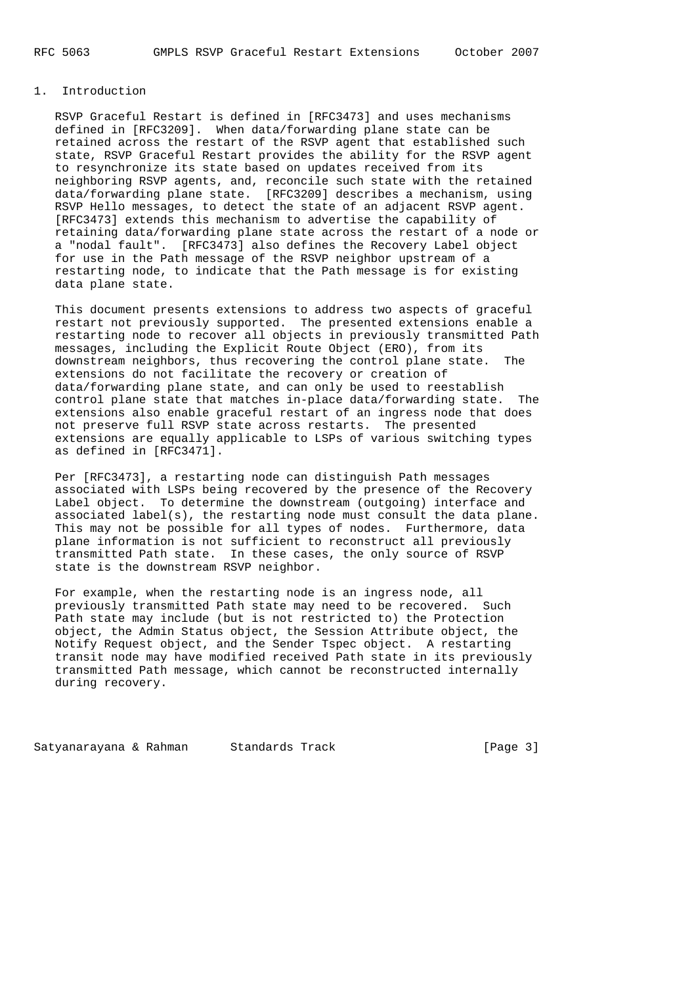### 1. Introduction

 RSVP Graceful Restart is defined in [RFC3473] and uses mechanisms defined in [RFC3209]. When data/forwarding plane state can be retained across the restart of the RSVP agent that established such state, RSVP Graceful Restart provides the ability for the RSVP agent to resynchronize its state based on updates received from its neighboring RSVP agents, and, reconcile such state with the retained data/forwarding plane state. [RFC3209] describes a mechanism, using RSVP Hello messages, to detect the state of an adjacent RSVP agent. [RFC3473] extends this mechanism to advertise the capability of retaining data/forwarding plane state across the restart of a node or a "nodal fault". [RFC3473] also defines the Recovery Label object for use in the Path message of the RSVP neighbor upstream of a restarting node, to indicate that the Path message is for existing data plane state.

 This document presents extensions to address two aspects of graceful restart not previously supported. The presented extensions enable a restarting node to recover all objects in previously transmitted Path messages, including the Explicit Route Object (ERO), from its downstream neighbors, thus recovering the control plane state. The extensions do not facilitate the recovery or creation of data/forwarding plane state, and can only be used to reestablish control plane state that matches in-place data/forwarding state. The extensions also enable graceful restart of an ingress node that does not preserve full RSVP state across restarts. The presented extensions are equally applicable to LSPs of various switching types as defined in [RFC3471].

 Per [RFC3473], a restarting node can distinguish Path messages associated with LSPs being recovered by the presence of the Recovery Label object. To determine the downstream (outgoing) interface and associated label(s), the restarting node must consult the data plane. This may not be possible for all types of nodes. Furthermore, data plane information is not sufficient to reconstruct all previously transmitted Path state. In these cases, the only source of RSVP state is the downstream RSVP neighbor.

 For example, when the restarting node is an ingress node, all previously transmitted Path state may need to be recovered. Such Path state may include (but is not restricted to) the Protection object, the Admin Status object, the Session Attribute object, the Notify Request object, and the Sender Tspec object. A restarting transit node may have modified received Path state in its previously transmitted Path message, which cannot be reconstructed internally during recovery.

Satyanarayana & Rahman Standards Track (Page 3)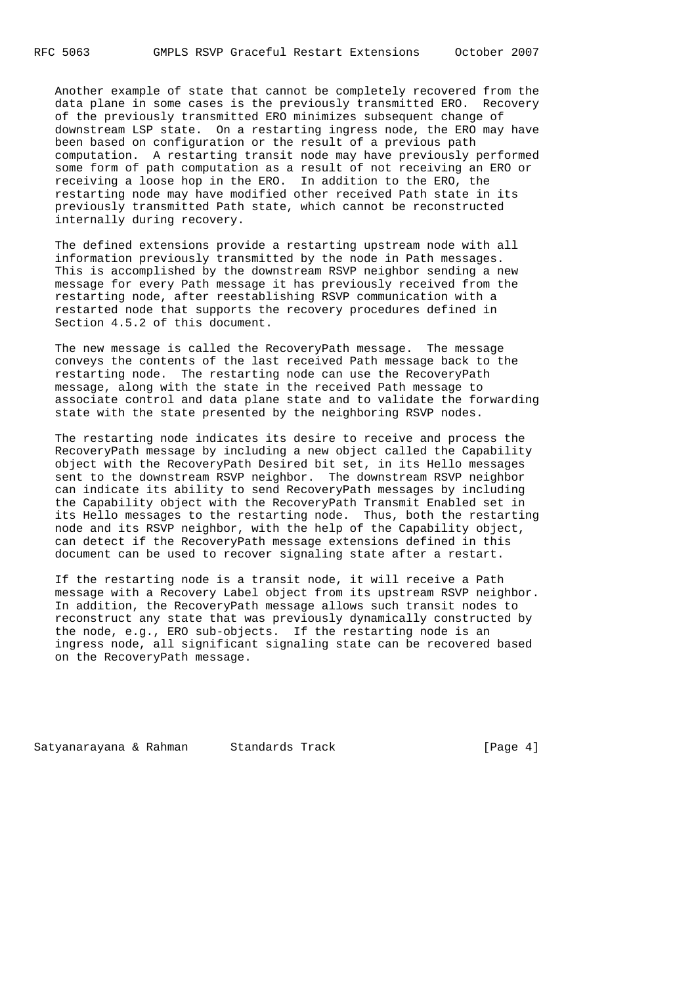Another example of state that cannot be completely recovered from the data plane in some cases is the previously transmitted ERO. Recovery of the previously transmitted ERO minimizes subsequent change of downstream LSP state. On a restarting ingress node, the ERO may have been based on configuration or the result of a previous path computation. A restarting transit node may have previously performed some form of path computation as a result of not receiving an ERO or receiving a loose hop in the ERO. In addition to the ERO, the restarting node may have modified other received Path state in its previously transmitted Path state, which cannot be reconstructed internally during recovery.

 The defined extensions provide a restarting upstream node with all information previously transmitted by the node in Path messages. This is accomplished by the downstream RSVP neighbor sending a new message for every Path message it has previously received from the restarting node, after reestablishing RSVP communication with a restarted node that supports the recovery procedures defined in Section 4.5.2 of this document.

 The new message is called the RecoveryPath message. The message conveys the contents of the last received Path message back to the restarting node. The restarting node can use the RecoveryPath message, along with the state in the received Path message to associate control and data plane state and to validate the forwarding state with the state presented by the neighboring RSVP nodes.

 The restarting node indicates its desire to receive and process the RecoveryPath message by including a new object called the Capability object with the RecoveryPath Desired bit set, in its Hello messages sent to the downstream RSVP neighbor. The downstream RSVP neighbor can indicate its ability to send RecoveryPath messages by including the Capability object with the RecoveryPath Transmit Enabled set in its Hello messages to the restarting node. Thus, both the restarting node and its RSVP neighbor, with the help of the Capability object, can detect if the RecoveryPath message extensions defined in this document can be used to recover signaling state after a restart.

 If the restarting node is a transit node, it will receive a Path message with a Recovery Label object from its upstream RSVP neighbor. In addition, the RecoveryPath message allows such transit nodes to reconstruct any state that was previously dynamically constructed by the node, e.g., ERO sub-objects. If the restarting node is an ingress node, all significant signaling state can be recovered based on the RecoveryPath message.

Satyanarayana & Rahman Standards Track (Page 4)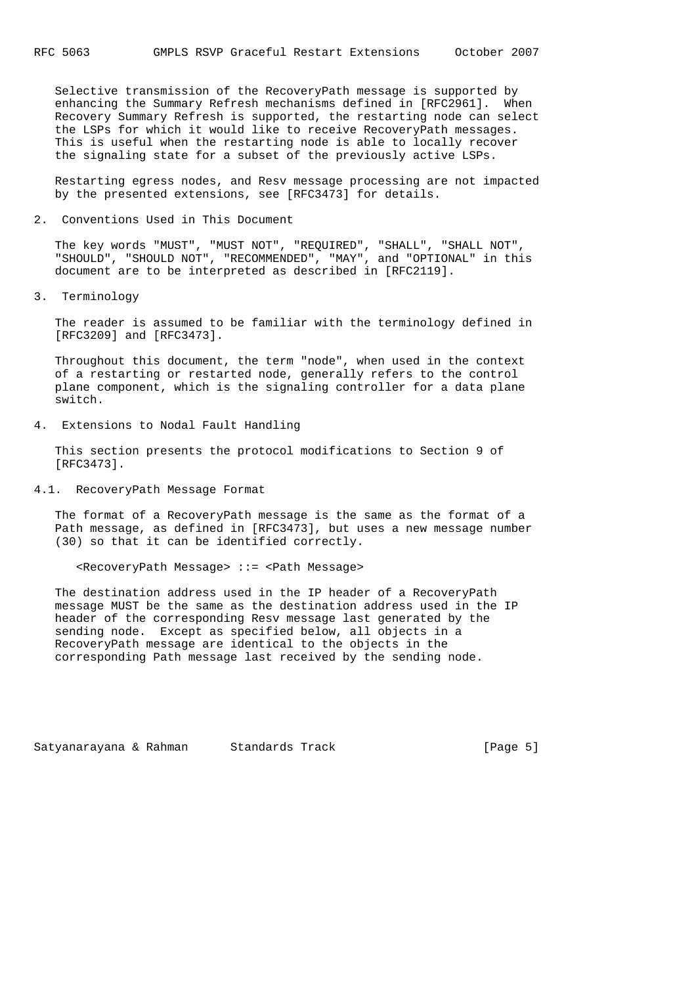Selective transmission of the RecoveryPath message is supported by enhancing the Summary Refresh mechanisms defined in [RFC2961]. When Recovery Summary Refresh is supported, the restarting node can select the LSPs for which it would like to receive RecoveryPath messages. This is useful when the restarting node is able to locally recover the signaling state for a subset of the previously active LSPs.

 Restarting egress nodes, and Resv message processing are not impacted by the presented extensions, see [RFC3473] for details.

2. Conventions Used in This Document

 The key words "MUST", "MUST NOT", "REQUIRED", "SHALL", "SHALL NOT", "SHOULD", "SHOULD NOT", "RECOMMENDED", "MAY", and "OPTIONAL" in this document are to be interpreted as described in [RFC2119].

3. Terminology

 The reader is assumed to be familiar with the terminology defined in [RFC3209] and [RFC3473].

 Throughout this document, the term "node", when used in the context of a restarting or restarted node, generally refers to the control plane component, which is the signaling controller for a data plane switch.

4. Extensions to Nodal Fault Handling

 This section presents the protocol modifications to Section 9 of [RFC3473].

4.1. RecoveryPath Message Format

 The format of a RecoveryPath message is the same as the format of a Path message, as defined in [RFC3473], but uses a new message number (30) so that it can be identified correctly.

#### <RecoveryPath Message> ::= <Path Message>

 The destination address used in the IP header of a RecoveryPath message MUST be the same as the destination address used in the IP header of the corresponding Resv message last generated by the sending node. Except as specified below, all objects in a RecoveryPath message are identical to the objects in the corresponding Path message last received by the sending node.

Satyanarayana & Rahman Standards Track (Page 5)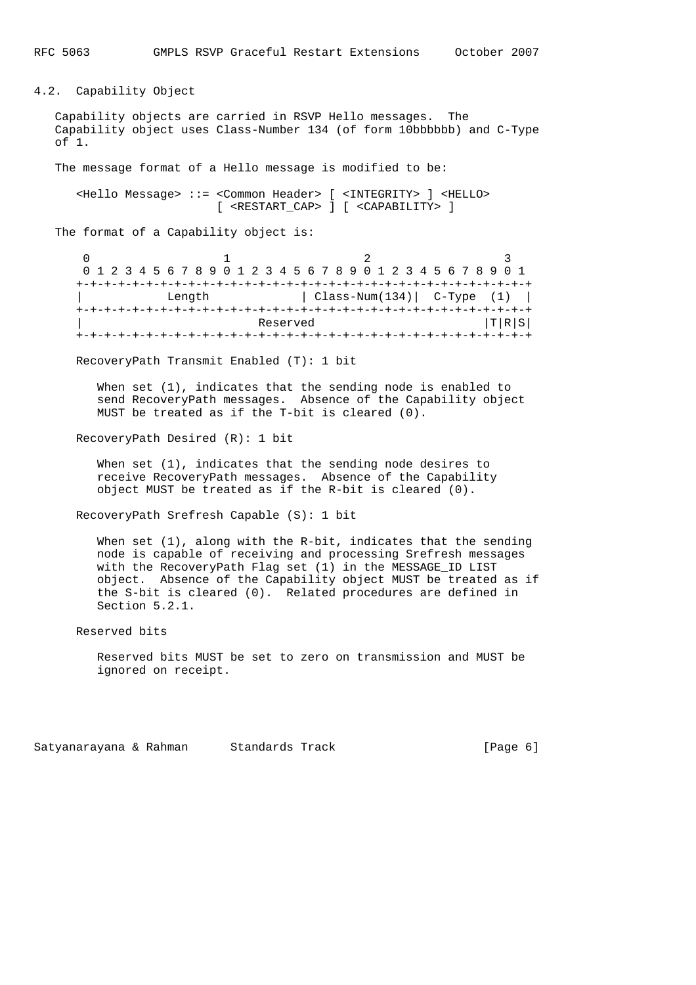4.2. Capability Object

 Capability objects are carried in RSVP Hello messages. The Capability object uses Class-Number 134 (of form 10bbbbbb) and C-Type of 1.

The message format of a Hello message is modified to be:

 <Hello Message> ::= <Common Header> [ <INTEGRITY> ] <HELLO> [ <RESTART\_CAP> ] [ <CAPABILITY> ]

The format of a Capability object is:

| 0 1 2 3 4 5 6 7 8 9 0 1 2 3 4 5 6 7 8 9 0 1 2 3 4 5 6 7 8 9 0 1 |  |  |  |  |  |  |  |  |  |  |  |  |  |                               |  |  |  |  |  |  |  |  |  |  |       |  |  |  |  |
|-----------------------------------------------------------------|--|--|--|--|--|--|--|--|--|--|--|--|--|-------------------------------|--|--|--|--|--|--|--|--|--|--|-------|--|--|--|--|
|                                                                 |  |  |  |  |  |  |  |  |  |  |  |  |  |                               |  |  |  |  |  |  |  |  |  |  |       |  |  |  |  |
| Length                                                          |  |  |  |  |  |  |  |  |  |  |  |  |  | $Class-Num(134)$ $C-Type$ (1) |  |  |  |  |  |  |  |  |  |  |       |  |  |  |  |
|                                                                 |  |  |  |  |  |  |  |  |  |  |  |  |  |                               |  |  |  |  |  |  |  |  |  |  |       |  |  |  |  |
| Reserved                                                        |  |  |  |  |  |  |  |  |  |  |  |  |  |                               |  |  |  |  |  |  |  |  |  |  | T R S |  |  |  |  |
|                                                                 |  |  |  |  |  |  |  |  |  |  |  |  |  |                               |  |  |  |  |  |  |  |  |  |  |       |  |  |  |  |

RecoveryPath Transmit Enabled (T): 1 bit

 When set (1), indicates that the sending node is enabled to send RecoveryPath messages. Absence of the Capability object MUST be treated as if the T-bit is cleared (0).

RecoveryPath Desired (R): 1 bit

When set (1), indicates that the sending node desires to receive RecoveryPath messages. Absence of the Capability object MUST be treated as if the R-bit is cleared (0).

RecoveryPath Srefresh Capable (S): 1 bit

When set  $(1)$ , along with the R-bit, indicates that the sending node is capable of receiving and processing Srefresh messages with the RecoveryPath Flag set (1) in the MESSAGE\_ID LIST object. Absence of the Capability object MUST be treated as if the S-bit is cleared (0). Related procedures are defined in Section 5.2.1.

Reserved bits

 Reserved bits MUST be set to zero on transmission and MUST be ignored on receipt.

Satyanarayana & Rahman Standards Track (Page 6)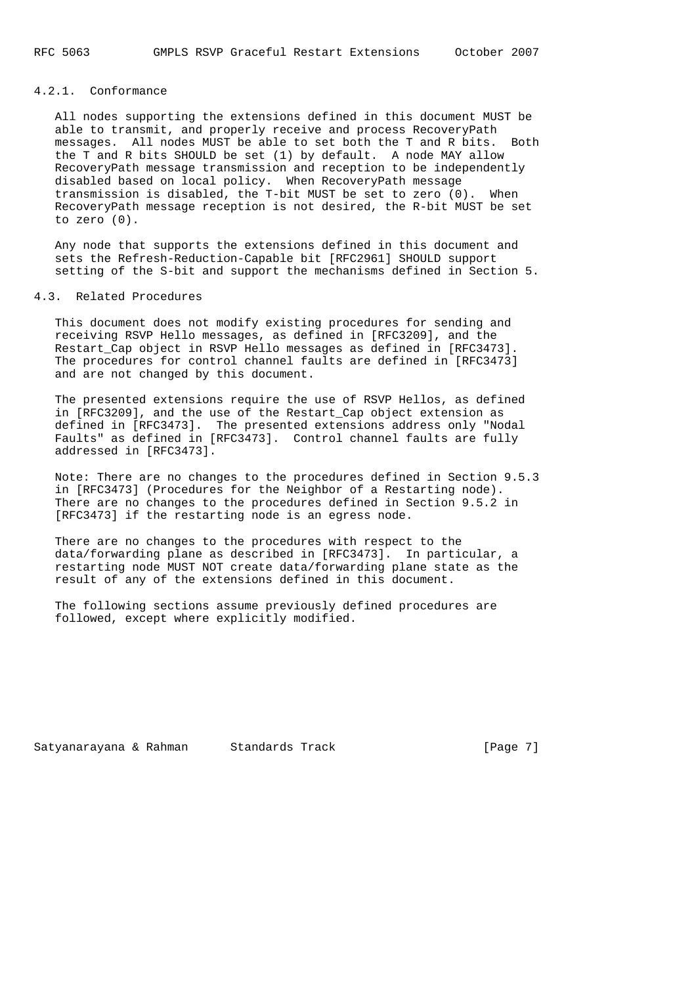### 4.2.1. Conformance

 All nodes supporting the extensions defined in this document MUST be able to transmit, and properly receive and process RecoveryPath messages. All nodes MUST be able to set both the T and R bits. Both the T and R bits SHOULD be set (1) by default. A node MAY allow RecoveryPath message transmission and reception to be independently disabled based on local policy. When RecoveryPath message transmission is disabled, the T-bit MUST be set to zero (0). When RecoveryPath message reception is not desired, the R-bit MUST be set to zero (0).

 Any node that supports the extensions defined in this document and sets the Refresh-Reduction-Capable bit [RFC2961] SHOULD support setting of the S-bit and support the mechanisms defined in Section 5.

#### 4.3. Related Procedures

 This document does not modify existing procedures for sending and receiving RSVP Hello messages, as defined in [RFC3209], and the Restart\_Cap object in RSVP Hello messages as defined in [RFC3473]. The procedures for control channel faults are defined in [RFC3473] and are not changed by this document.

 The presented extensions require the use of RSVP Hellos, as defined in [RFC3209], and the use of the Restart\_Cap object extension as defined in [RFC3473]. The presented extensions address only "Nodal Faults" as defined in [RFC3473]. Control channel faults are fully addressed in [RFC3473].

 Note: There are no changes to the procedures defined in Section 9.5.3 in [RFC3473] (Procedures for the Neighbor of a Restarting node). There are no changes to the procedures defined in Section 9.5.2 in [RFC3473] if the restarting node is an egress node.

 There are no changes to the procedures with respect to the data/forwarding plane as described in [RFC3473]. In particular, a restarting node MUST NOT create data/forwarding plane state as the result of any of the extensions defined in this document.

 The following sections assume previously defined procedures are followed, except where explicitly modified.

Satyanarayana & Rahman Standards Track (Page 7)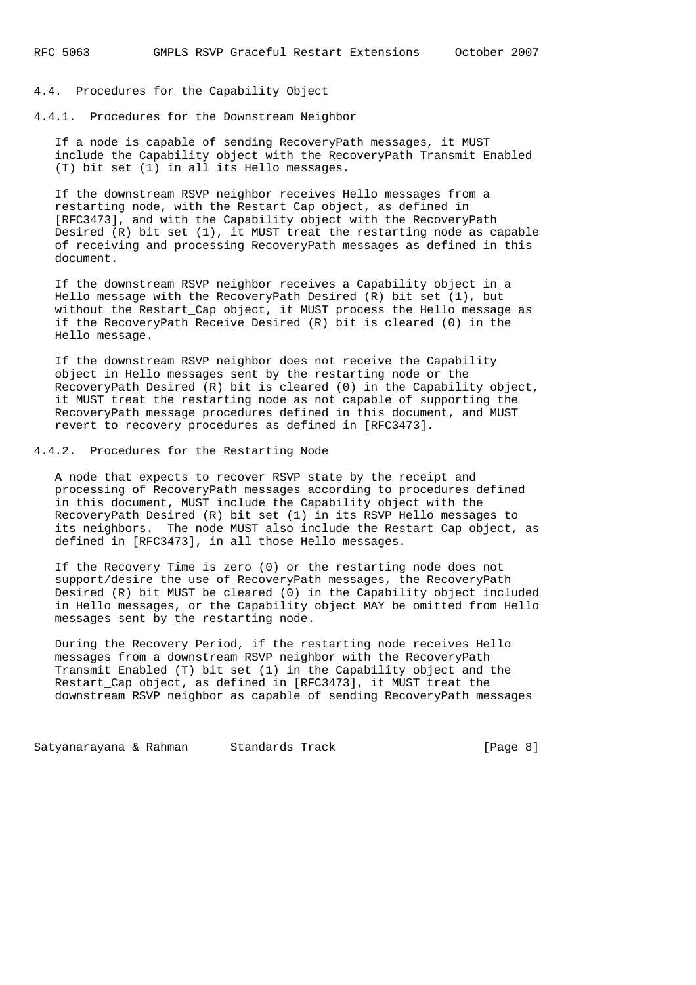### 4.4. Procedures for the Capability Object

4.4.1. Procedures for the Downstream Neighbor

 If a node is capable of sending RecoveryPath messages, it MUST include the Capability object with the RecoveryPath Transmit Enabled (T) bit set (1) in all its Hello messages.

 If the downstream RSVP neighbor receives Hello messages from a restarting node, with the Restart\_Cap object, as defined in [RFC3473], and with the Capability object with the RecoveryPath Desired (R) bit set (1), it MUST treat the restarting node as capable of receiving and processing RecoveryPath messages as defined in this document.

 If the downstream RSVP neighbor receives a Capability object in a Hello message with the RecoveryPath Desired (R) bit set (1), but without the Restart\_Cap object, it MUST process the Hello message as if the RecoveryPath Receive Desired (R) bit is cleared (0) in the Hello message.

 If the downstream RSVP neighbor does not receive the Capability object in Hello messages sent by the restarting node or the RecoveryPath Desired (R) bit is cleared (0) in the Capability object, it MUST treat the restarting node as not capable of supporting the RecoveryPath message procedures defined in this document, and MUST revert to recovery procedures as defined in [RFC3473].

### 4.4.2. Procedures for the Restarting Node

 A node that expects to recover RSVP state by the receipt and processing of RecoveryPath messages according to procedures defined in this document, MUST include the Capability object with the RecoveryPath Desired (R) bit set (1) in its RSVP Hello messages to its neighbors. The node MUST also include the Restart\_Cap object, as defined in [RFC3473], in all those Hello messages.

 If the Recovery Time is zero (0) or the restarting node does not support/desire the use of RecoveryPath messages, the RecoveryPath Desired (R) bit MUST be cleared (0) in the Capability object included in Hello messages, or the Capability object MAY be omitted from Hello messages sent by the restarting node.

 During the Recovery Period, if the restarting node receives Hello messages from a downstream RSVP neighbor with the RecoveryPath Transmit Enabled (T) bit set (1) in the Capability object and the Restart\_Cap object, as defined in [RFC3473], it MUST treat the downstream RSVP neighbor as capable of sending RecoveryPath messages

Satyanarayana & Rahman Standards Track (Page 8)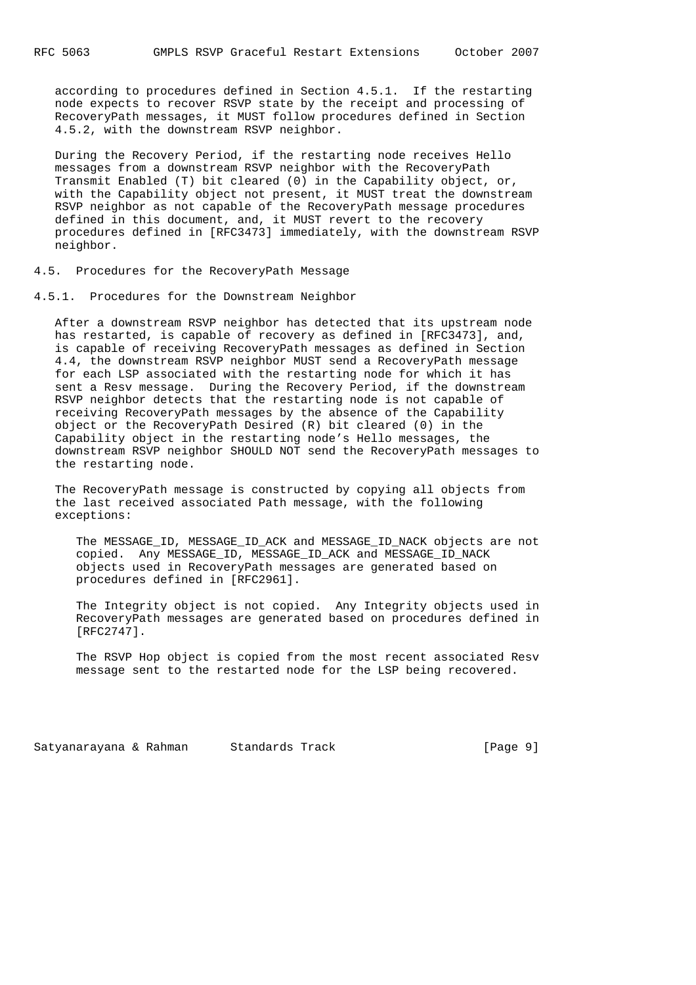according to procedures defined in Section 4.5.1. If the restarting node expects to recover RSVP state by the receipt and processing of RecoveryPath messages, it MUST follow procedures defined in Section 4.5.2, with the downstream RSVP neighbor.

 During the Recovery Period, if the restarting node receives Hello messages from a downstream RSVP neighbor with the RecoveryPath Transmit Enabled (T) bit cleared (0) in the Capability object, or, with the Capability object not present, it MUST treat the downstream RSVP neighbor as not capable of the RecoveryPath message procedures defined in this document, and, it MUST revert to the recovery procedures defined in [RFC3473] immediately, with the downstream RSVP neighbor.

4.5. Procedures for the RecoveryPath Message

4.5.1. Procedures for the Downstream Neighbor

 After a downstream RSVP neighbor has detected that its upstream node has restarted, is capable of recovery as defined in [RFC3473], and, is capable of receiving RecoveryPath messages as defined in Section 4.4, the downstream RSVP neighbor MUST send a RecoveryPath message for each LSP associated with the restarting node for which it has sent a Resv message. During the Recovery Period, if the downstream RSVP neighbor detects that the restarting node is not capable of receiving RecoveryPath messages by the absence of the Capability object or the RecoveryPath Desired (R) bit cleared (0) in the Capability object in the restarting node's Hello messages, the downstream RSVP neighbor SHOULD NOT send the RecoveryPath messages to the restarting node.

 The RecoveryPath message is constructed by copying all objects from the last received associated Path message, with the following exceptions:

 The MESSAGE\_ID, MESSAGE\_ID\_ACK and MESSAGE\_ID\_NACK objects are not copied. Any MESSAGE\_ID, MESSAGE\_ID\_ACK and MESSAGE\_ID\_NACK objects used in RecoveryPath messages are generated based on procedures defined in [RFC2961].

 The Integrity object is not copied. Any Integrity objects used in RecoveryPath messages are generated based on procedures defined in [RFC2747].

 The RSVP Hop object is copied from the most recent associated Resv message sent to the restarted node for the LSP being recovered.

Satyanarayana & Rahman Standards Track (Page 9)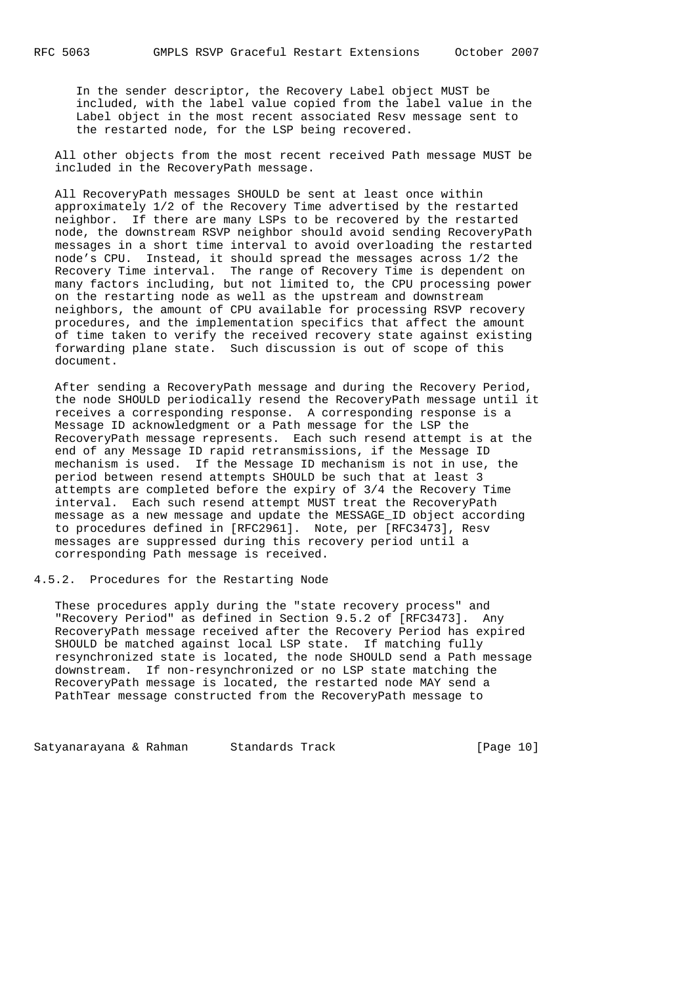In the sender descriptor, the Recovery Label object MUST be included, with the label value copied from the label value in the Label object in the most recent associated Resv message sent to the restarted node, for the LSP being recovered.

 All other objects from the most recent received Path message MUST be included in the RecoveryPath message.

 All RecoveryPath messages SHOULD be sent at least once within approximately 1/2 of the Recovery Time advertised by the restarted neighbor. If there are many LSPs to be recovered by the restarted node, the downstream RSVP neighbor should avoid sending RecoveryPath messages in a short time interval to avoid overloading the restarted node's CPU. Instead, it should spread the messages across 1/2 the Recovery Time interval. The range of Recovery Time is dependent on many factors including, but not limited to, the CPU processing power on the restarting node as well as the upstream and downstream neighbors, the amount of CPU available for processing RSVP recovery procedures, and the implementation specifics that affect the amount of time taken to verify the received recovery state against existing forwarding plane state. Such discussion is out of scope of this document.

 After sending a RecoveryPath message and during the Recovery Period, the node SHOULD periodically resend the RecoveryPath message until it receives a corresponding response. A corresponding response is a Message ID acknowledgment or a Path message for the LSP the RecoveryPath message represents. Each such resend attempt is at the end of any Message ID rapid retransmissions, if the Message ID mechanism is used. If the Message ID mechanism is not in use, the period between resend attempts SHOULD be such that at least 3 attempts are completed before the expiry of 3/4 the Recovery Time interval. Each such resend attempt MUST treat the RecoveryPath message as a new message and update the MESSAGE\_ID object according to procedures defined in [RFC2961]. Note, per [RFC3473], Resv messages are suppressed during this recovery period until a corresponding Path message is received.

4.5.2. Procedures for the Restarting Node

 These procedures apply during the "state recovery process" and "Recovery Period" as defined in Section 9.5.2 of [RFC3473]. Any RecoveryPath message received after the Recovery Period has expired SHOULD be matched against local LSP state. If matching fully resynchronized state is located, the node SHOULD send a Path message downstream. If non-resynchronized or no LSP state matching the RecoveryPath message is located, the restarted node MAY send a PathTear message constructed from the RecoveryPath message to

Satyanarayana & Rahman Standards Track [Page 10]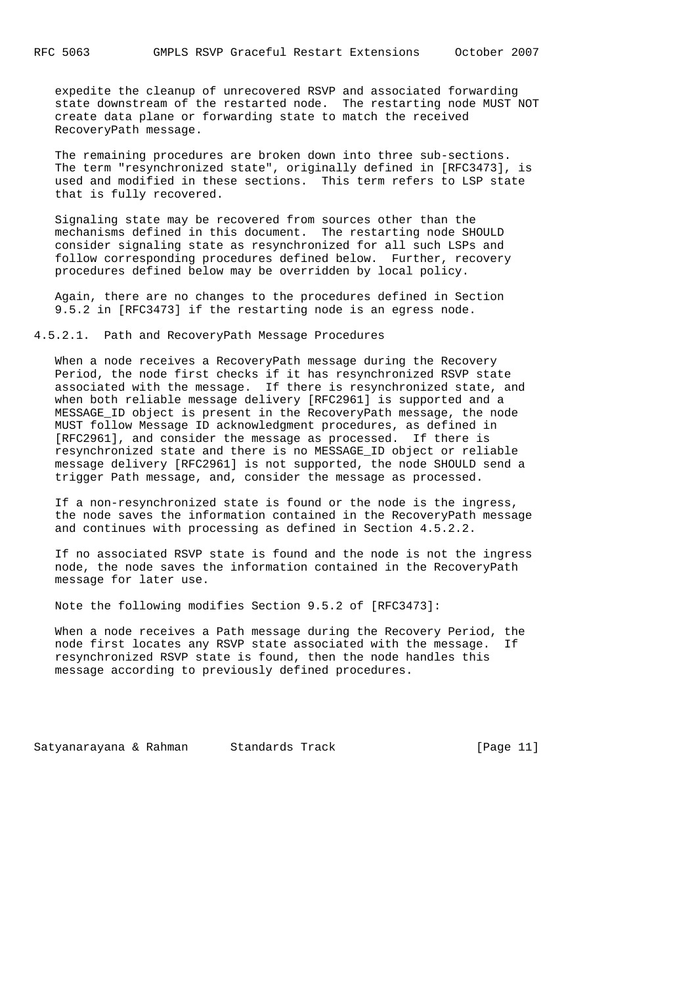expedite the cleanup of unrecovered RSVP and associated forwarding state downstream of the restarted node. The restarting node MUST NOT create data plane or forwarding state to match the received RecoveryPath message.

 The remaining procedures are broken down into three sub-sections. The term "resynchronized state", originally defined in [RFC3473], is used and modified in these sections. This term refers to LSP state that is fully recovered.

 Signaling state may be recovered from sources other than the mechanisms defined in this document. The restarting node SHOULD consider signaling state as resynchronized for all such LSPs and follow corresponding procedures defined below. Further, recovery procedures defined below may be overridden by local policy.

 Again, there are no changes to the procedures defined in Section 9.5.2 in [RFC3473] if the restarting node is an egress node.

4.5.2.1. Path and RecoveryPath Message Procedures

 When a node receives a RecoveryPath message during the Recovery Period, the node first checks if it has resynchronized RSVP state associated with the message. If there is resynchronized state, and when both reliable message delivery [RFC2961] is supported and a MESSAGE\_ID object is present in the RecoveryPath message, the node MUST follow Message ID acknowledgment procedures, as defined in [RFC2961], and consider the message as processed. If there is resynchronized state and there is no MESSAGE\_ID object or reliable message delivery [RFC2961] is not supported, the node SHOULD send a trigger Path message, and, consider the message as processed.

 If a non-resynchronized state is found or the node is the ingress, the node saves the information contained in the RecoveryPath message and continues with processing as defined in Section 4.5.2.2.

 If no associated RSVP state is found and the node is not the ingress node, the node saves the information contained in the RecoveryPath message for later use.

Note the following modifies Section 9.5.2 of [RFC3473]:

 When a node receives a Path message during the Recovery Period, the node first locates any RSVP state associated with the message. If resynchronized RSVP state is found, then the node handles this message according to previously defined procedures.

Satyanarayana & Rahman Standards Track [Page 11]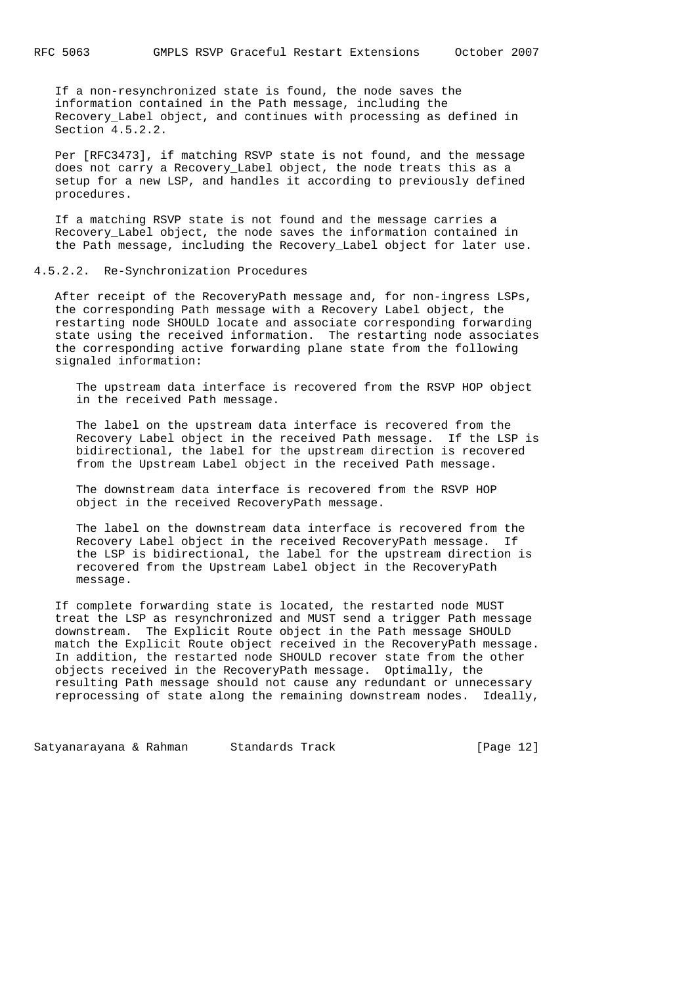If a non-resynchronized state is found, the node saves the information contained in the Path message, including the Recovery\_Label object, and continues with processing as defined in Section 4.5.2.2.

 Per [RFC3473], if matching RSVP state is not found, and the message does not carry a Recovery\_Label object, the node treats this as a setup for a new LSP, and handles it according to previously defined procedures.

 If a matching RSVP state is not found and the message carries a Recovery\_Label object, the node saves the information contained in the Path message, including the Recovery\_Label object for later use.

### 4.5.2.2. Re-Synchronization Procedures

 After receipt of the RecoveryPath message and, for non-ingress LSPs, the corresponding Path message with a Recovery Label object, the restarting node SHOULD locate and associate corresponding forwarding state using the received information. The restarting node associates the corresponding active forwarding plane state from the following signaled information:

 The upstream data interface is recovered from the RSVP HOP object in the received Path message.

 The label on the upstream data interface is recovered from the Recovery Label object in the received Path message. If the LSP is bidirectional, the label for the upstream direction is recovered from the Upstream Label object in the received Path message.

 The downstream data interface is recovered from the RSVP HOP object in the received RecoveryPath message.

 The label on the downstream data interface is recovered from the Recovery Label object in the received RecoveryPath message. If the LSP is bidirectional, the label for the upstream direction is recovered from the Upstream Label object in the RecoveryPath message.

 If complete forwarding state is located, the restarted node MUST treat the LSP as resynchronized and MUST send a trigger Path message downstream. The Explicit Route object in the Path message SHOULD match the Explicit Route object received in the RecoveryPath message. In addition, the restarted node SHOULD recover state from the other objects received in the RecoveryPath message. Optimally, the resulting Path message should not cause any redundant or unnecessary reprocessing of state along the remaining downstream nodes. Ideally,

Satyanarayana & Rahman Standards Track [Page 12]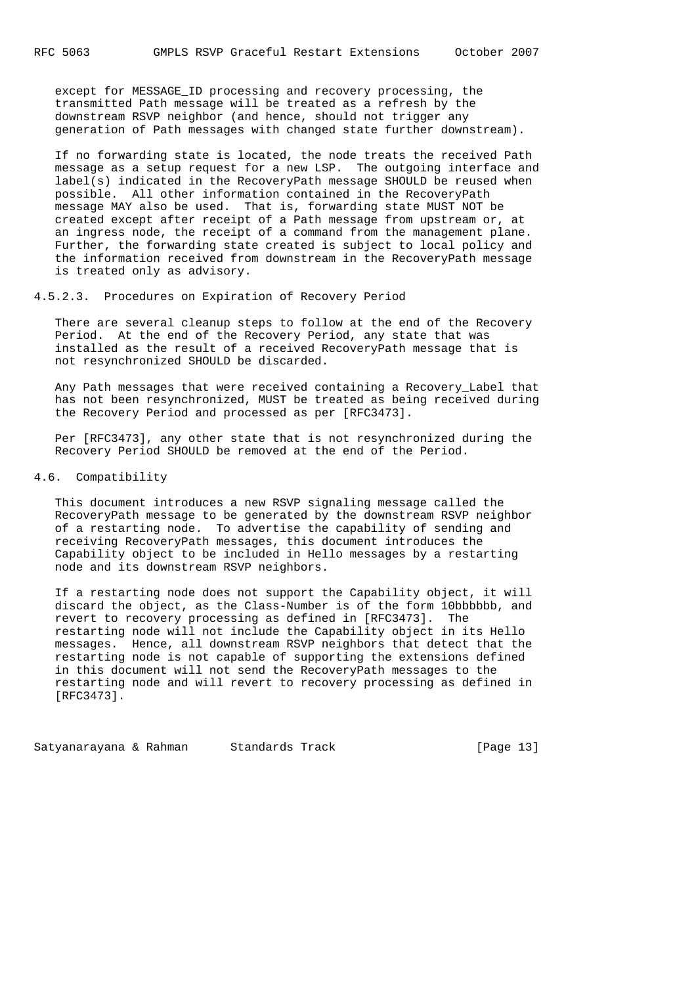except for MESSAGE\_ID processing and recovery processing, the transmitted Path message will be treated as a refresh by the downstream RSVP neighbor (and hence, should not trigger any generation of Path messages with changed state further downstream).

 If no forwarding state is located, the node treats the received Path message as a setup request for a new LSP. The outgoing interface and label(s) indicated in the RecoveryPath message SHOULD be reused when possible. All other information contained in the RecoveryPath message MAY also be used. That is, forwarding state MUST NOT be created except after receipt of a Path message from upstream or, at an ingress node, the receipt of a command from the management plane. Further, the forwarding state created is subject to local policy and the information received from downstream in the RecoveryPath message is treated only as advisory.

## 4.5.2.3. Procedures on Expiration of Recovery Period

 There are several cleanup steps to follow at the end of the Recovery Period. At the end of the Recovery Period, any state that was installed as the result of a received RecoveryPath message that is not resynchronized SHOULD be discarded.

Any Path messages that were received containing a Recovery Label that has not been resynchronized, MUST be treated as being received during the Recovery Period and processed as per [RFC3473].

 Per [RFC3473], any other state that is not resynchronized during the Recovery Period SHOULD be removed at the end of the Period.

#### 4.6. Compatibility

 This document introduces a new RSVP signaling message called the RecoveryPath message to be generated by the downstream RSVP neighbor of a restarting node. To advertise the capability of sending and receiving RecoveryPath messages, this document introduces the Capability object to be included in Hello messages by a restarting node and its downstream RSVP neighbors.

 If a restarting node does not support the Capability object, it will discard the object, as the Class-Number is of the form 10bbbbbb, and revert to recovery processing as defined in [RFC3473]. The restarting node will not include the Capability object in its Hello messages. Hence, all downstream RSVP neighbors that detect that the restarting node is not capable of supporting the extensions defined in this document will not send the RecoveryPath messages to the restarting node and will revert to recovery processing as defined in [RFC3473].

Satyanarayana & Rahman Standards Track [Page 13]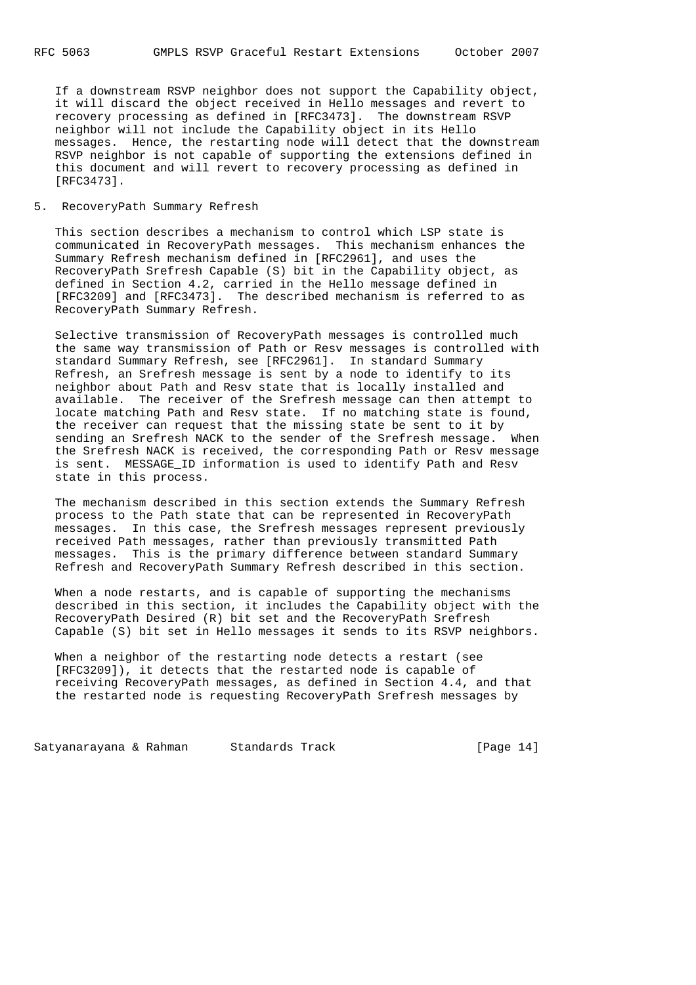If a downstream RSVP neighbor does not support the Capability object, it will discard the object received in Hello messages and revert to recovery processing as defined in [RFC3473]. The downstream RSVP neighbor will not include the Capability object in its Hello messages. Hence, the restarting node will detect that the downstream RSVP neighbor is not capable of supporting the extensions defined in this document and will revert to recovery processing as defined in [RFC3473].

### 5. RecoveryPath Summary Refresh

 This section describes a mechanism to control which LSP state is communicated in RecoveryPath messages. This mechanism enhances the Summary Refresh mechanism defined in [RFC2961], and uses the RecoveryPath Srefresh Capable (S) bit in the Capability object, as defined in Section 4.2, carried in the Hello message defined in [RFC3209] and [RFC3473]. The described mechanism is referred to as RecoveryPath Summary Refresh.

 Selective transmission of RecoveryPath messages is controlled much the same way transmission of Path or Resv messages is controlled with standard Summary Refresh, see [RFC2961]. In standard Summary Refresh, an Srefresh message is sent by a node to identify to its neighbor about Path and Resv state that is locally installed and available. The receiver of the Srefresh message can then attempt to locate matching Path and Resv state. If no matching state is found, the receiver can request that the missing state be sent to it by sending an Srefresh NACK to the sender of the Srefresh message. When the Srefresh NACK is received, the corresponding Path or Resv message is sent. MESSAGE\_ID information is used to identify Path and Resv state in this process.

 The mechanism described in this section extends the Summary Refresh process to the Path state that can be represented in RecoveryPath messages. In this case, the Srefresh messages represent previously received Path messages, rather than previously transmitted Path messages. This is the primary difference between standard Summary Refresh and RecoveryPath Summary Refresh described in this section.

 When a node restarts, and is capable of supporting the mechanisms described in this section, it includes the Capability object with the RecoveryPath Desired (R) bit set and the RecoveryPath Srefresh Capable (S) bit set in Hello messages it sends to its RSVP neighbors.

 When a neighbor of the restarting node detects a restart (see [RFC3209]), it detects that the restarted node is capable of receiving RecoveryPath messages, as defined in Section 4.4, and that the restarted node is requesting RecoveryPath Srefresh messages by

Satyanarayana & Rahman Standards Track [Page 14]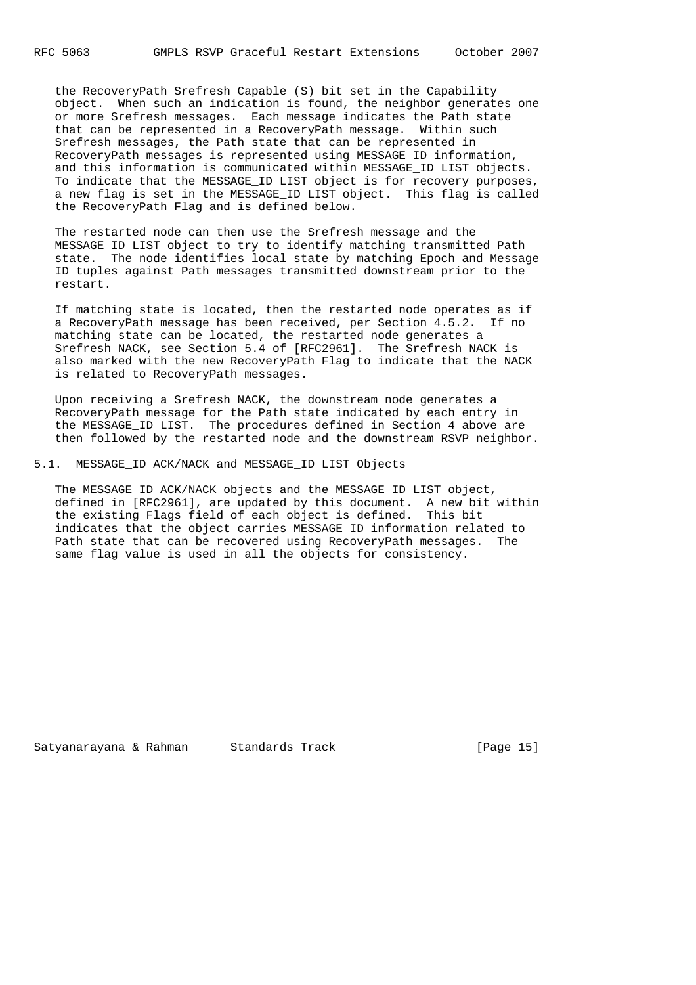the RecoveryPath Srefresh Capable (S) bit set in the Capability object. When such an indication is found, the neighbor generates one or more Srefresh messages. Each message indicates the Path state that can be represented in a RecoveryPath message. Within such Srefresh messages, the Path state that can be represented in RecoveryPath messages is represented using MESSAGE\_ID information, and this information is communicated within MESSAGE\_ID LIST objects. To indicate that the MESSAGE\_ID LIST object is for recovery purposes, a new flag is set in the MESSAGE ID LIST object. This flag is called the RecoveryPath Flag and is defined below.

 The restarted node can then use the Srefresh message and the MESSAGE\_ID LIST object to try to identify matching transmitted Path state. The node identifies local state by matching Epoch and Message ID tuples against Path messages transmitted downstream prior to the restart.

 If matching state is located, then the restarted node operates as if a RecoveryPath message has been received, per Section 4.5.2. If no matching state can be located, the restarted node generates a Srefresh NACK, see Section 5.4 of [RFC2961]. The Srefresh NACK is also marked with the new RecoveryPath Flag to indicate that the NACK is related to RecoveryPath messages.

 Upon receiving a Srefresh NACK, the downstream node generates a RecoveryPath message for the Path state indicated by each entry in the MESSAGE ID LIST. The procedures defined in Section 4 above are then followed by the restarted node and the downstream RSVP neighbor.

## 5.1. MESSAGE\_ID ACK/NACK and MESSAGE\_ID LIST Objects

 The MESSAGE\_ID ACK/NACK objects and the MESSAGE\_ID LIST object, defined in [RFC2961], are updated by this document. A new bit within the existing Flags field of each object is defined. This bit indicates that the object carries MESSAGE\_ID information related to Path state that can be recovered using RecoveryPath messages. The same flag value is used in all the objects for consistency.

Satyanarayana & Rahman Standards Track [Page 15]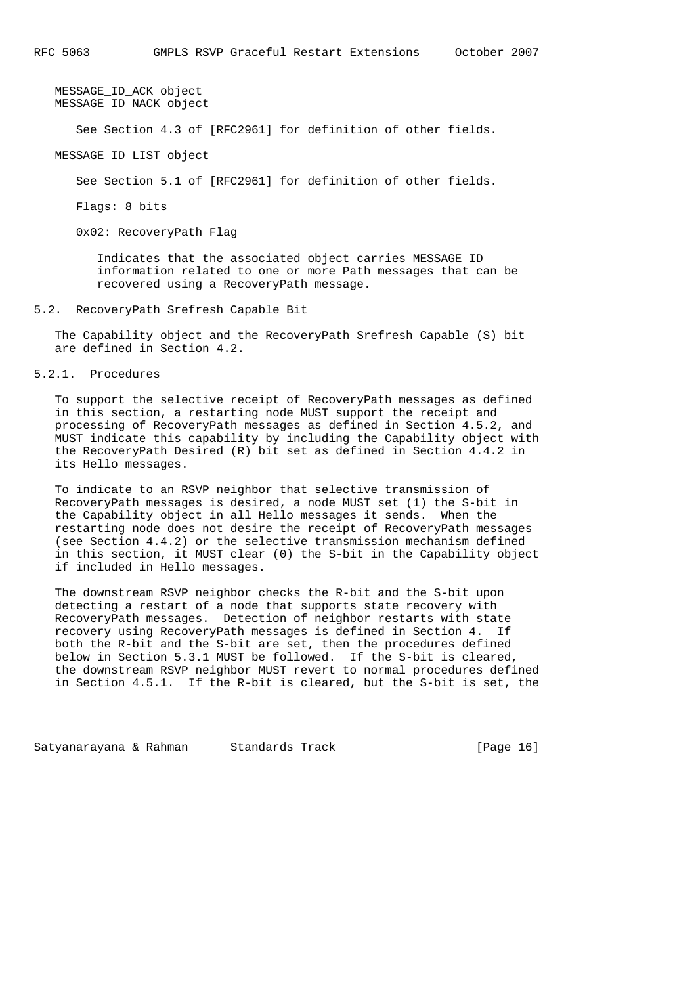MESSAGE\_ID\_ACK object MESSAGE\_ID\_NACK object

See Section 4.3 of [RFC2961] for definition of other fields.

MESSAGE\_ID LIST object

See Section 5.1 of [RFC2961] for definition of other fields.

Flags: 8 bits

0x02: RecoveryPath Flag

 Indicates that the associated object carries MESSAGE\_ID information related to one or more Path messages that can be recovered using a RecoveryPath message.

#### 5.2. RecoveryPath Srefresh Capable Bit

 The Capability object and the RecoveryPath Srefresh Capable (S) bit are defined in Section 4.2.

# 5.2.1. Procedures

 To support the selective receipt of RecoveryPath messages as defined in this section, a restarting node MUST support the receipt and processing of RecoveryPath messages as defined in Section 4.5.2, and MUST indicate this capability by including the Capability object with the RecoveryPath Desired (R) bit set as defined in Section 4.4.2 in its Hello messages.

 To indicate to an RSVP neighbor that selective transmission of RecoveryPath messages is desired, a node MUST set (1) the S-bit in the Capability object in all Hello messages it sends. When the restarting node does not desire the receipt of RecoveryPath messages (see Section 4.4.2) or the selective transmission mechanism defined in this section, it MUST clear (0) the S-bit in the Capability object if included in Hello messages.

 The downstream RSVP neighbor checks the R-bit and the S-bit upon detecting a restart of a node that supports state recovery with RecoveryPath messages. Detection of neighbor restarts with state recovery using RecoveryPath messages is defined in Section 4. If both the R-bit and the S-bit are set, then the procedures defined below in Section 5.3.1 MUST be followed. If the S-bit is cleared, the downstream RSVP neighbor MUST revert to normal procedures defined in Section 4.5.1. If the R-bit is cleared, but the S-bit is set, the

Satyanarayana & Rahman Standards Track [Page 16]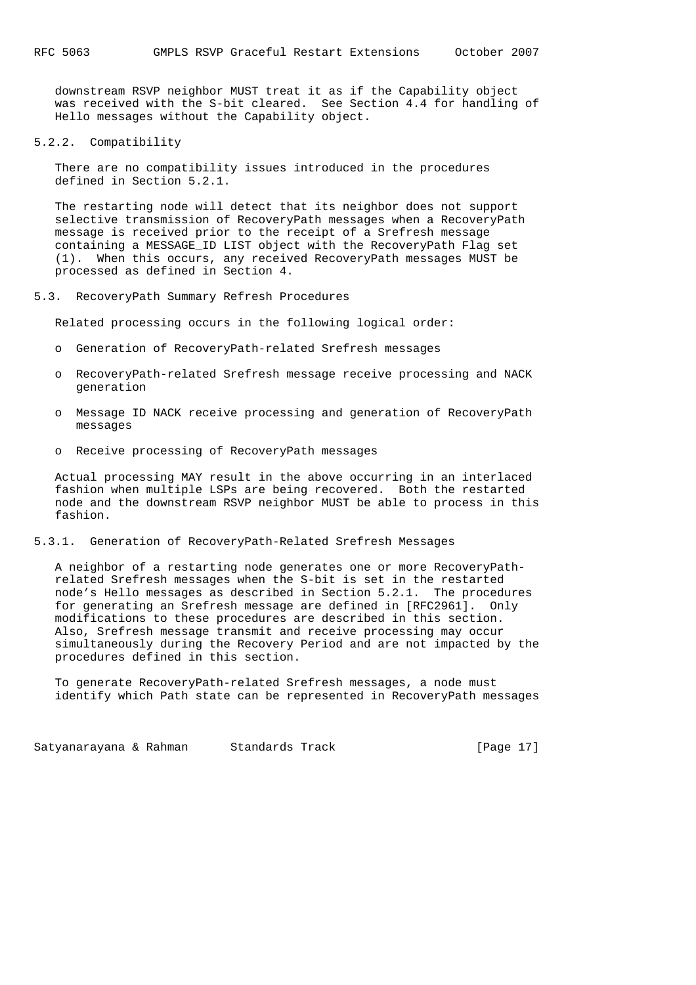downstream RSVP neighbor MUST treat it as if the Capability object was received with the S-bit cleared. See Section 4.4 for handling of Hello messages without the Capability object.

5.2.2. Compatibility

 There are no compatibility issues introduced in the procedures defined in Section 5.2.1.

 The restarting node will detect that its neighbor does not support selective transmission of RecoveryPath messages when a RecoveryPath message is received prior to the receipt of a Srefresh message containing a MESSAGE\_ID LIST object with the RecoveryPath Flag set (1). When this occurs, any received RecoveryPath messages MUST be processed as defined in Section 4.

#### 5.3. RecoveryPath Summary Refresh Procedures

Related processing occurs in the following logical order:

- o Generation of RecoveryPath-related Srefresh messages
- o RecoveryPath-related Srefresh message receive processing and NACK generation
- o Message ID NACK receive processing and generation of RecoveryPath messages
- o Receive processing of RecoveryPath messages

 Actual processing MAY result in the above occurring in an interlaced fashion when multiple LSPs are being recovered. Both the restarted node and the downstream RSVP neighbor MUST be able to process in this fashion.

#### 5.3.1. Generation of RecoveryPath-Related Srefresh Messages

 A neighbor of a restarting node generates one or more RecoveryPath related Srefresh messages when the S-bit is set in the restarted node's Hello messages as described in Section 5.2.1. The procedures for generating an Srefresh message are defined in [RFC2961]. Only modifications to these procedures are described in this section. Also, Srefresh message transmit and receive processing may occur simultaneously during the Recovery Period and are not impacted by the procedures defined in this section.

 To generate RecoveryPath-related Srefresh messages, a node must identify which Path state can be represented in RecoveryPath messages

Satyanarayana & Rahman Standards Track [Page 17]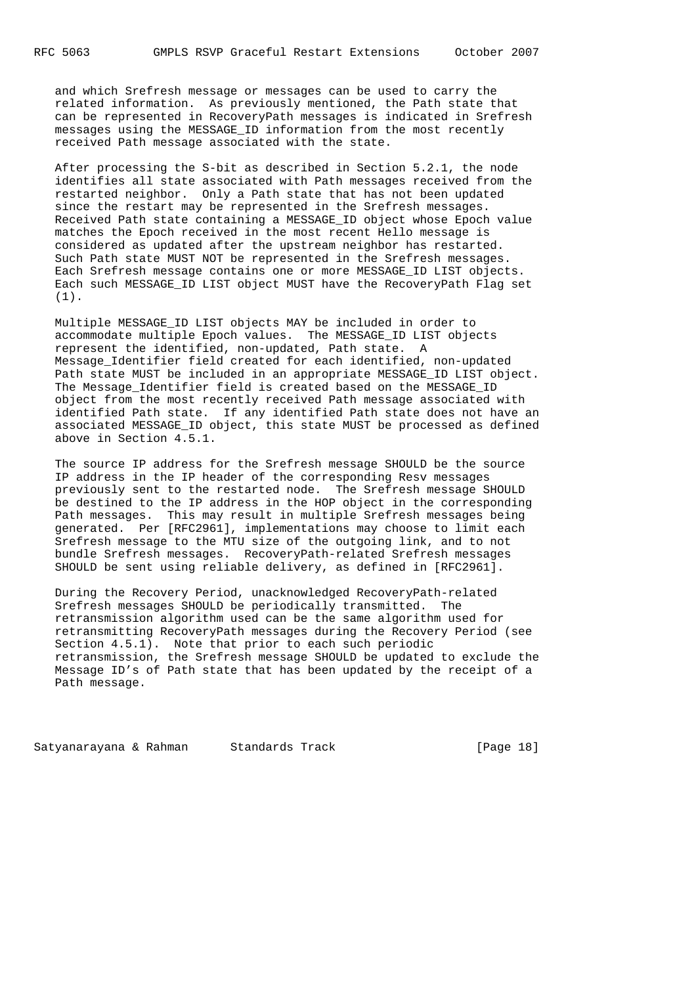and which Srefresh message or messages can be used to carry the related information. As previously mentioned, the Path state that can be represented in RecoveryPath messages is indicated in Srefresh messages using the MESSAGE\_ID information from the most recently received Path message associated with the state.

 After processing the S-bit as described in Section 5.2.1, the node identifies all state associated with Path messages received from the restarted neighbor. Only a Path state that has not been updated since the restart may be represented in the Srefresh messages. Received Path state containing a MESSAGE\_ID object whose Epoch value matches the Epoch received in the most recent Hello message is considered as updated after the upstream neighbor has restarted. Such Path state MUST NOT be represented in the Srefresh messages. Each Srefresh message contains one or more MESSAGE ID LIST objects. Each such MESSAGE\_ID LIST object MUST have the RecoveryPath Flag set (1).

 Multiple MESSAGE\_ID LIST objects MAY be included in order to accommodate multiple Epoch values. The MESSAGE\_ID LIST objects represent the identified, non-updated, Path state. A Message\_Identifier field created for each identified, non-updated Path state MUST be included in an appropriate MESSAGE ID LIST object. The Message Identifier field is created based on the MESSAGE ID object from the most recently received Path message associated with identified Path state. If any identified Path state does not have an associated MESSAGE\_ID object, this state MUST be processed as defined above in Section 4.5.1.

 The source IP address for the Srefresh message SHOULD be the source IP address in the IP header of the corresponding Resv messages previously sent to the restarted node. The Srefresh message SHOULD be destined to the IP address in the HOP object in the corresponding Path messages. This may result in multiple Srefresh messages being generated. Per [RFC2961], implementations may choose to limit each Srefresh message to the MTU size of the outgoing link, and to not bundle Srefresh messages. RecoveryPath-related Srefresh messages SHOULD be sent using reliable delivery, as defined in [RFC2961].

 During the Recovery Period, unacknowledged RecoveryPath-related Srefresh messages SHOULD be periodically transmitted. The retransmission algorithm used can be the same algorithm used for retransmitting RecoveryPath messages during the Recovery Period (see Section 4.5.1). Note that prior to each such periodic retransmission, the Srefresh message SHOULD be updated to exclude the Message ID's of Path state that has been updated by the receipt of a Path message.

Satyanarayana & Rahman Standards Track [Page 18]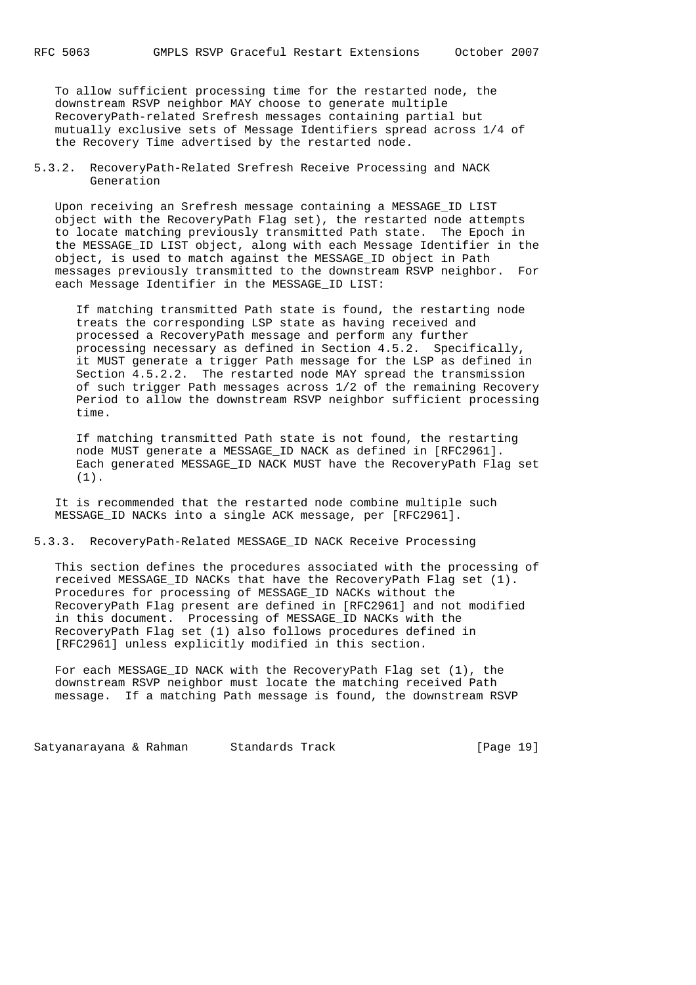To allow sufficient processing time for the restarted node, the downstream RSVP neighbor MAY choose to generate multiple RecoveryPath-related Srefresh messages containing partial but mutually exclusive sets of Message Identifiers spread across 1/4 of the Recovery Time advertised by the restarted node.

5.3.2. RecoveryPath-Related Srefresh Receive Processing and NACK Generation

 Upon receiving an Srefresh message containing a MESSAGE\_ID LIST object with the RecoveryPath Flag set), the restarted node attempts to locate matching previously transmitted Path state. The Epoch in the MESSAGE\_ID LIST object, along with each Message Identifier in the object, is used to match against the MESSAGE\_ID object in Path messages previously transmitted to the downstream RSVP neighbor. For each Message Identifier in the MESSAGE\_ID LIST:

 If matching transmitted Path state is found, the restarting node treats the corresponding LSP state as having received and processed a RecoveryPath message and perform any further processing necessary as defined in Section 4.5.2. Specifically, it MUST generate a trigger Path message for the LSP as defined in Section 4.5.2.2. The restarted node MAY spread the transmission of such trigger Path messages across 1/2 of the remaining Recovery Period to allow the downstream RSVP neighbor sufficient processing time.

 If matching transmitted Path state is not found, the restarting node MUST generate a MESSAGE\_ID NACK as defined in [RFC2961]. Each generated MESSAGE ID NACK MUST have the RecoveryPath Flag set (1).

 It is recommended that the restarted node combine multiple such MESSAGE\_ID NACKs into a single ACK message, per [RFC2961].

5.3.3. RecoveryPath-Related MESSAGE\_ID NACK Receive Processing

 This section defines the procedures associated with the processing of received MESSAGE\_ID NACKs that have the RecoveryPath Flag set (1). Procedures for processing of MESSAGE\_ID NACKs without the RecoveryPath Flag present are defined in [RFC2961] and not modified in this document. Processing of MESSAGE\_ID NACKs with the RecoveryPath Flag set (1) also follows procedures defined in [RFC2961] unless explicitly modified in this section.

 For each MESSAGE\_ID NACK with the RecoveryPath Flag set (1), the downstream RSVP neighbor must locate the matching received Path message. If a matching Path message is found, the downstream RSVP

Satyanarayana & Rahman Standards Track [Page 19]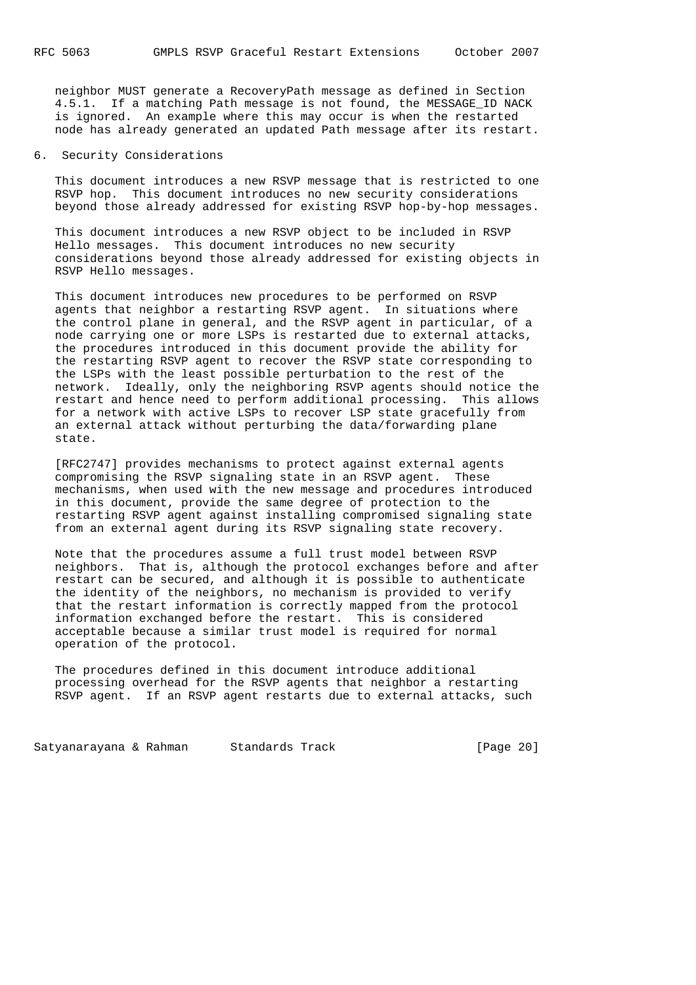neighbor MUST generate a RecoveryPath message as defined in Section 4.5.1. If a matching Path message is not found, the MESSAGE\_ID NACK is ignored. An example where this may occur is when the restarted node has already generated an updated Path message after its restart.

### 6. Security Considerations

 This document introduces a new RSVP message that is restricted to one RSVP hop. This document introduces no new security considerations beyond those already addressed for existing RSVP hop-by-hop messages.

 This document introduces a new RSVP object to be included in RSVP Hello messages. This document introduces no new security considerations beyond those already addressed for existing objects in RSVP Hello messages.

 This document introduces new procedures to be performed on RSVP agents that neighbor a restarting RSVP agent. In situations where the control plane in general, and the RSVP agent in particular, of a node carrying one or more LSPs is restarted due to external attacks, the procedures introduced in this document provide the ability for the restarting RSVP agent to recover the RSVP state corresponding to the LSPs with the least possible perturbation to the rest of the network. Ideally, only the neighboring RSVP agents should notice the restart and hence need to perform additional processing. This allows for a network with active LSPs to recover LSP state gracefully from an external attack without perturbing the data/forwarding plane state.

 [RFC2747] provides mechanisms to protect against external agents compromising the RSVP signaling state in an RSVP agent. These mechanisms, when used with the new message and procedures introduced in this document, provide the same degree of protection to the restarting RSVP agent against installing compromised signaling state from an external agent during its RSVP signaling state recovery.

 Note that the procedures assume a full trust model between RSVP neighbors. That is, although the protocol exchanges before and after restart can be secured, and although it is possible to authenticate the identity of the neighbors, no mechanism is provided to verify that the restart information is correctly mapped from the protocol information exchanged before the restart. This is considered acceptable because a similar trust model is required for normal operation of the protocol.

 The procedures defined in this document introduce additional processing overhead for the RSVP agents that neighbor a restarting RSVP agent. If an RSVP agent restarts due to external attacks, such

Satyanarayana & Rahman Standards Track [Page 20]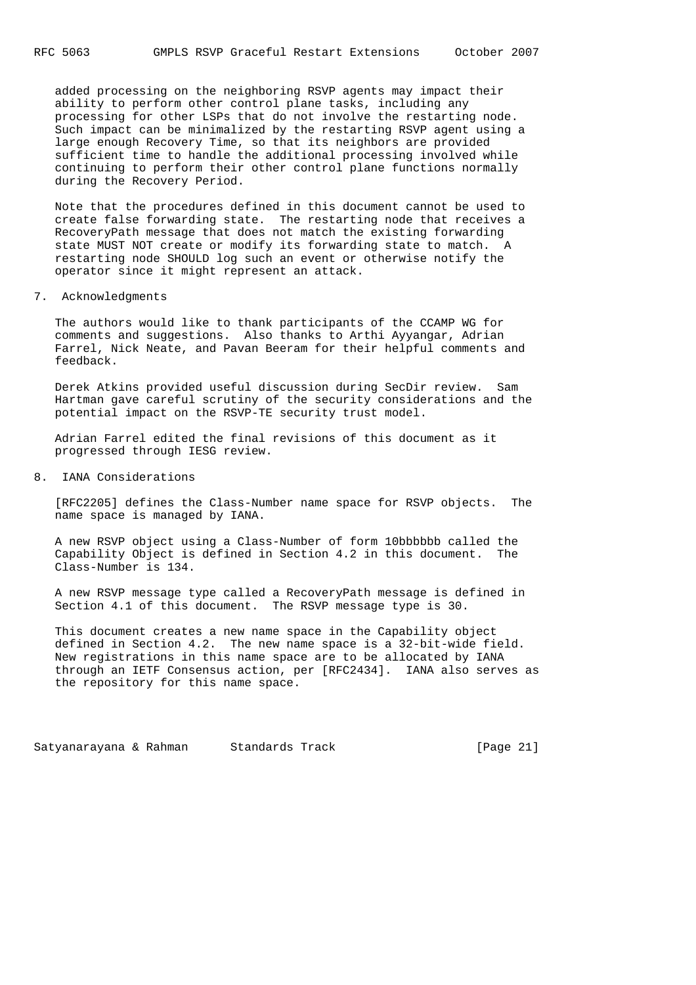added processing on the neighboring RSVP agents may impact their ability to perform other control plane tasks, including any processing for other LSPs that do not involve the restarting node. Such impact can be minimalized by the restarting RSVP agent using a large enough Recovery Time, so that its neighbors are provided sufficient time to handle the additional processing involved while continuing to perform their other control plane functions normally during the Recovery Period.

 Note that the procedures defined in this document cannot be used to create false forwarding state. The restarting node that receives a RecoveryPath message that does not match the existing forwarding state MUST NOT create or modify its forwarding state to match. A restarting node SHOULD log such an event or otherwise notify the operator since it might represent an attack.

7. Acknowledgments

 The authors would like to thank participants of the CCAMP WG for comments and suggestions. Also thanks to Arthi Ayyangar, Adrian Farrel, Nick Neate, and Pavan Beeram for their helpful comments and feedback.

 Derek Atkins provided useful discussion during SecDir review. Sam Hartman gave careful scrutiny of the security considerations and the potential impact on the RSVP-TE security trust model.

 Adrian Farrel edited the final revisions of this document as it progressed through IESG review.

8. IANA Considerations

 [RFC2205] defines the Class-Number name space for RSVP objects. The name space is managed by IANA.

 A new RSVP object using a Class-Number of form 10bbbbbb called the Capability Object is defined in Section 4.2 in this document. The Class-Number is 134.

 A new RSVP message type called a RecoveryPath message is defined in Section 4.1 of this document. The RSVP message type is 30.

 This document creates a new name space in the Capability object defined in Section 4.2. The new name space is a 32-bit-wide field. New registrations in this name space are to be allocated by IANA through an IETF Consensus action, per [RFC2434]. IANA also serves as the repository for this name space.

Satyanarayana & Rahman Standards Track [Page 21]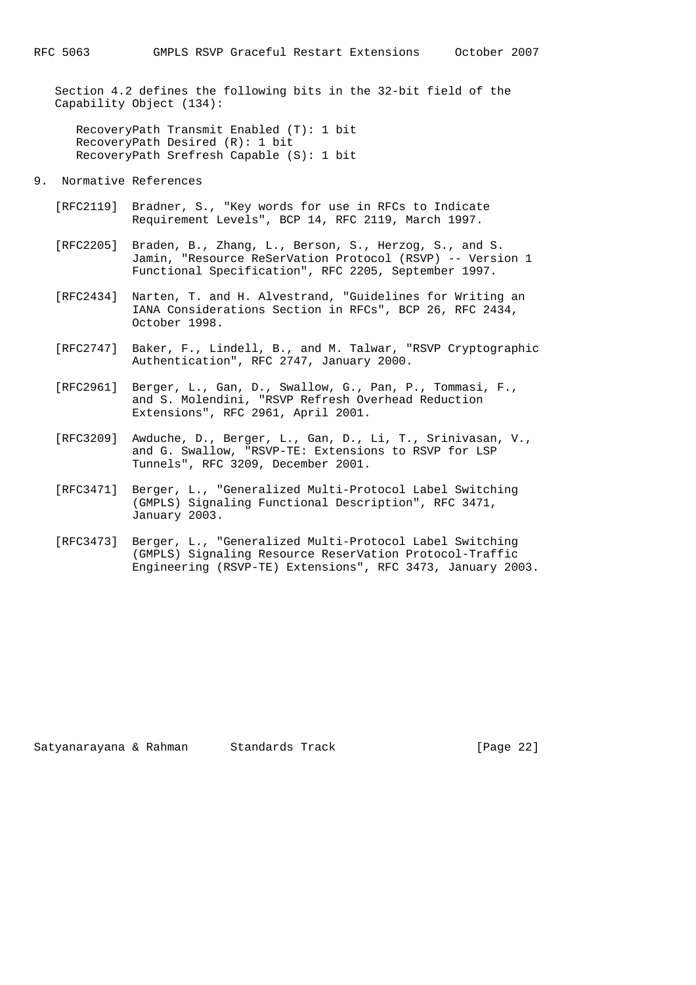Section 4.2 defines the following bits in the 32-bit field of the Capability Object (134):

 RecoveryPath Transmit Enabled (T): 1 bit RecoveryPath Desired (R): 1 bit RecoveryPath Srefresh Capable (S): 1 bit

#### 9. Normative References

- [RFC2119] Bradner, S., "Key words for use in RFCs to Indicate Requirement Levels", BCP 14, RFC 2119, March 1997.
- [RFC2205] Braden, B., Zhang, L., Berson, S., Herzog, S., and S. Jamin, "Resource ReSerVation Protocol (RSVP) -- Version 1 Functional Specification", RFC 2205, September 1997.
- [RFC2434] Narten, T. and H. Alvestrand, "Guidelines for Writing an IANA Considerations Section in RFCs", BCP 26, RFC 2434, October 1998.
- [RFC2747] Baker, F., Lindell, B., and M. Talwar, "RSVP Cryptographic Authentication", RFC 2747, January 2000.
- [RFC2961] Berger, L., Gan, D., Swallow, G., Pan, P., Tommasi, F., and S. Molendini, "RSVP Refresh Overhead Reduction Extensions", RFC 2961, April 2001.
- [RFC3209] Awduche, D., Berger, L., Gan, D., Li, T., Srinivasan, V., and G. Swallow, "RSVP-TE: Extensions to RSVP for LSP Tunnels", RFC 3209, December 2001.
- [RFC3471] Berger, L., "Generalized Multi-Protocol Label Switching (GMPLS) Signaling Functional Description", RFC 3471, January 2003.
- [RFC3473] Berger, L., "Generalized Multi-Protocol Label Switching (GMPLS) Signaling Resource ReserVation Protocol-Traffic Engineering (RSVP-TE) Extensions", RFC 3473, January 2003.

Satyanarayana & Rahman Standards Track [Page 22]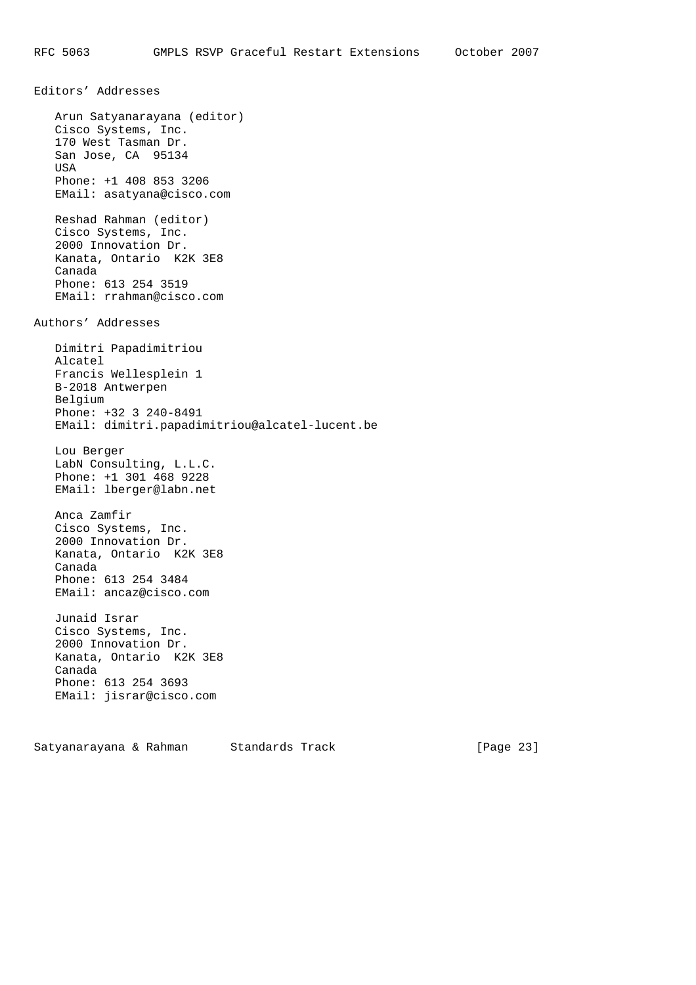Editors' Addresses Arun Satyanarayana (editor) Cisco Systems, Inc. 170 West Tasman Dr. San Jose, CA 95134 USA Phone: +1 408 853 3206 EMail: asatyana@cisco.com Reshad Rahman (editor) Cisco Systems, Inc. 2000 Innovation Dr. Kanata, Ontario K2K 3E8 Canada Phone: 613 254 3519 EMail: rrahman@cisco.com Authors' Addresses Dimitri Papadimitriou Alcatel Francis Wellesplein 1 B-2018 Antwerpen Belgium Phone: +32 3 240-8491 EMail: dimitri.papadimitriou@alcatel-lucent.be Lou Berger LabN Consulting, L.L.C. Phone: +1 301 468 9228 EMail: lberger@labn.net Anca Zamfir Cisco Systems, Inc. 2000 Innovation Dr. Kanata, Ontario K2K 3E8 Canada Phone: 613 254 3484 EMail: ancaz@cisco.com Junaid Israr Cisco Systems, Inc. 2000 Innovation Dr. Kanata, Ontario K2K 3E8 Canada Phone: 613 254 3693 EMail: jisrar@cisco.com

Satyanarayana & Rahman Standards Track (Page 23)